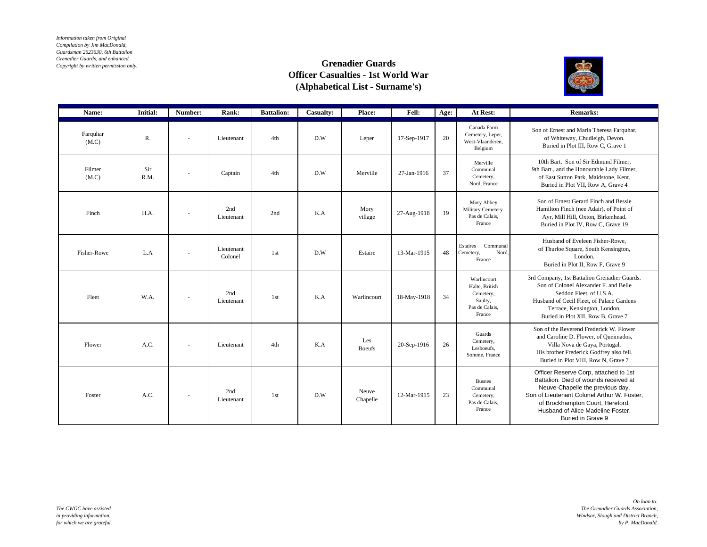*Information taken from Original Compilation by Jim MacDonald, Guardsman 2623630, 6th Battalion Grenadier Guards, and enhanced. Copyright by written permission only.*

## **Grenadier Guards Officer Casualties - 1st World War (Alphabetical List - Surname's)**



| Name:             | <b>Initial:</b> | Number:                  | Rank:                 | <b>Battalion:</b> | Casualty: | <b>Place:</b>        | <b>Fell:</b> | Age: | At Rest:                                                                          | <b>Remarks:</b>                                                                                                                                                                                                                                                 |
|-------------------|-----------------|--------------------------|-----------------------|-------------------|-----------|----------------------|--------------|------|-----------------------------------------------------------------------------------|-----------------------------------------------------------------------------------------------------------------------------------------------------------------------------------------------------------------------------------------------------------------|
| Farquhar<br>(M.C) | R.              | $\overline{\phantom{a}}$ | Lieutenant            | 4th               | D.W       | Leper                | 17-Sep-1917  | 20   | Canada Farm<br>Cemetery, Leper,<br>West-Vlaanderen,<br>Belgium                    | Son of Ernest and Maria Theresa Farquhar,<br>of Whiteway, Chudleigh, Devon.<br>Buried in Plot III, Row C, Grave 1                                                                                                                                               |
| Filmer<br>(M.C)   | Sir<br>R.M.     | $\overline{\phantom{a}}$ | Captain               | 4th               | D.W       | Merville             | 27-Jan-1916  | 37   | Merville<br>Communal<br>Cemetery,<br>Nord, France                                 | 10th Bart. Son of Sir Edmund Filmer.<br>9th Bart., and the Honourable Lady Filmer,<br>of East Sutton Park, Maidstone, Kent.<br>Buried in Plot VII. Row A. Grave 4                                                                                               |
| Finch             | H.A.            | $\overline{\phantom{a}}$ | 2nd<br>Lieutenant     | 2nd               | K.A       | Mory<br>village      | 27-Aug-1918  | 19   | Mory Abbey<br>Military Cemetery.<br>Pas de Calais,<br>France                      | Son of Ernest Gerard Finch and Bessie<br>Hamilton Finch (nee Adair), of Point of<br>Ayr, Mill Hill, Oxton, Birkenhead.<br>Buried in Plot IV, Row C, Grave 19                                                                                                    |
| Fisher-Rowe       | L.A             | $\overline{\phantom{a}}$ | Lieutenant<br>Colonel | 1st               | D.W       | Estaire              | 13-Mar-1915  | 48   | Estaires<br>Communal<br>Cemetery,<br>Nord<br>France                               | Husband of Eveleen Fisher-Rowe.<br>of Thurloe Square, South Kensington,<br>London.<br>Buried in Plot II, Row F, Grave 9                                                                                                                                         |
| Fleet             | W.A.            | $\overline{\phantom{a}}$ | 2nd<br>Lieutenant     | 1st               | K.A       | Warlincourt          | 18-May-1918  | 34   | Warlincourt<br>Halte, British<br>Cemetery,<br>Saulty,<br>Pas de Calais,<br>France | 3rd Company, 1st Battalion Grenadier Guards.<br>Son of Colonel Alexander F. and Belle<br>Seddon Fleet, of U.S.A.<br>Husband of Cecil Fleet, of Palace Gardens<br>Terrace, Kensington, London,<br>Buried in Plot XII, Row B, Grave 7                             |
| Flower            | A.C.            | $\sim$                   | Lieutenant            | 4th               | K.A       | Les<br><b>Boeufs</b> | 20-Sep-1916  | 26   | Guards<br>Cemetery,<br>Lesboeufs.<br>Somme, France                                | Son of the Reverend Frederick W. Flower<br>and Caroline D. Flower, of Queimados,<br>Villa Nova de Gaya, Portugal.<br>His brother Frederick Godfrey also fell.<br>Buried in Plot VIII. Row N. Grave 7                                                            |
| Foster            | A.C.            | $\sim$                   | 2nd<br>Lieutenant     | 1st               | D.W       | Neuve<br>Chapelle    | 12-Mar-1915  | 23   | <b>Busnes</b><br>Communal<br>Cemetery,<br>Pas de Calais,<br>France                | Officer Reserve Corp, attached to 1st<br>Battalion. Died of wounds received at<br>Neuve-Chapelle the previous day.<br>Son of Lieutenant Colonel Arthur W. Foster,<br>of Brockhampton Court, Hereford,<br>Husband of Alice Madeline Foster.<br>Buried in Grave 9 |